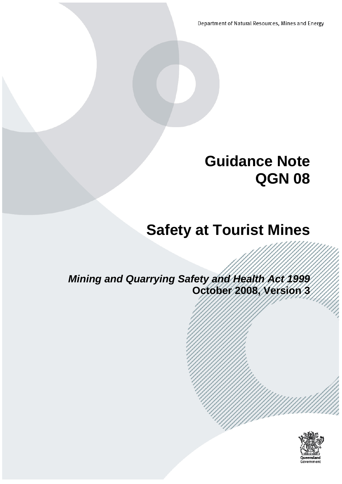Department of Natural Resources, Mines and Energy

# **Guidance Note QGN 08**

# **Safety at Tourist Mines**

*Mining and Quarrying Safety and Health Act 1999* **October 2008, Version 3**

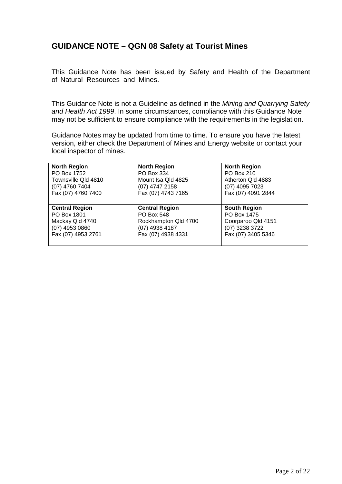# **GUIDANCE NOTE – QGN 08 Safety at Tourist Mines**

This Guidance Note has been issued by Safety and Health of the Department of Natural Resources and Mines.

This Guidance Note is not a Guideline as defined in the *Mining and Quarrying Safety and Health Act 1999*. In some circumstances, compliance with this Guidance Note may not be sufficient to ensure compliance with the requirements in the legislation.

Guidance Notes may be updated from time to time. To ensure you have the latest version, either check the Department of Mines and Energy website or contact your local inspector of mines.

| <b>North Region</b>   | <b>North Region</b>   | <b>North Region</b> |
|-----------------------|-----------------------|---------------------|
| PO Box 1752           | PO Box 334            | PO Box 210          |
| Townsville Qld 4810   | Mount Isa Qld 4825    | Atherton Qld 4883   |
| (07) 4760 7404        | (07) 4747 2158        | (07) 4095 7023      |
| Fax (07) 4760 7400    | Fax (07) 4743 7165    | Fax (07) 4091 2844  |
| <b>Central Region</b> | <b>Central Region</b> | <b>South Region</b> |
| PO Box 1801           | <b>PO Box 548</b>     | PO Box 1475         |
| Mackay Qld 4740       | Rockhampton Qld 4700  | Coorparoo Qld 4151  |
| (07) 4953 0860        | (07) 4938 4187        | (07) 3238 3722      |
| Fax (07) 4953 2761    | Fax (07) 4938 4331    | Fax (07) 3405 5346  |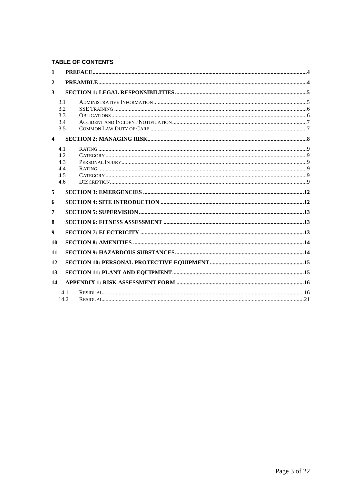#### **TABLE OF CONTENTS**

| 1                       |      |  |
|-------------------------|------|--|
| $\overline{2}$          |      |  |
| 3                       |      |  |
|                         | 3.1  |  |
|                         | 3.2  |  |
|                         | 3.3  |  |
|                         | 3.4  |  |
|                         | 3.5  |  |
| $\overline{\mathbf{4}}$ |      |  |
|                         | 4.1  |  |
|                         | 4.2  |  |
|                         | 4.3  |  |
|                         | 4.4  |  |
|                         | 4.5  |  |
|                         | 4.6  |  |
| 5                       |      |  |
| 6                       |      |  |
| 7                       |      |  |
| 8                       |      |  |
| 9                       |      |  |
| 10                      |      |  |
| 11                      |      |  |
| 12                      |      |  |
| 13                      |      |  |
| 14                      |      |  |
|                         | 14.1 |  |
|                         | 14.2 |  |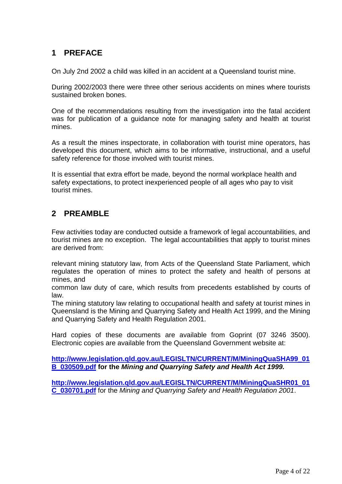## <span id="page-3-0"></span>**1 PREFACE**

On July 2nd 2002 a child was killed in an accident at a Queensland tourist mine.

During 2002/2003 there were three other serious accidents on mines where tourists sustained broken bones.

One of the recommendations resulting from the investigation into the fatal accident was for publication of a guidance note for managing safety and health at tourist mines.

As a result the mines inspectorate, in collaboration with tourist mine operators, has developed this document, which aims to be informative, instructional, and a useful safety reference for those involved with tourist mines.

It is essential that extra effort be made, beyond the normal workplace health and safety expectations, to protect inexperienced people of all ages who pay to visit tourist mines.

## <span id="page-3-1"></span>**2 PREAMBLE**

Few activities today are conducted outside a framework of legal accountabilities, and tourist mines are no exception. The legal accountabilities that apply to tourist mines are derived from:

relevant mining statutory law, from Acts of the Queensland State Parliament, which regulates the operation of mines to protect the safety and health of persons at mines, and

common law duty of care, which results from precedents established by courts of law.

The mining statutory law relating to occupational health and safety at tourist mines in Queensland is the Mining and Quarrying Safety and Health Act 1999, and the Mining and Quarrying Safety and Health Regulation 2001.

Hard copies of these documents are available from Goprint (07 3246 3500). Electronic copies are available from the Queensland Government website at:

**[http://www.legislation.qld.gov.au/LEGISLTN/CURRENT/M/MiningQuaSHA99\\_01](http://www.legislation.qld.gov.au/LEGISLTN/CURRENT/M/MiningQuaSHA99_01B_030509.pdf) [B\\_030509.pdf](http://www.legislation.qld.gov.au/LEGISLTN/CURRENT/M/MiningQuaSHA99_01B_030509.pdf) for the** *Mining and Quarrying Safety and Health Act 1999.*

**[http://www.legislation.qld.gov.au/LEGISLTN/CURRENT/M/MiningQuaSHR01\\_01](http://www.legislation.qld.gov.au/LEGISLTN/CURRENT/M/MiningQuaSHR01_01C_030701.pdf) [C\\_030701.pdf](http://www.legislation.qld.gov.au/LEGISLTN/CURRENT/M/MiningQuaSHR01_01C_030701.pdf)** for the *Mining and Quarrying Safety and Health Regulation 2001*.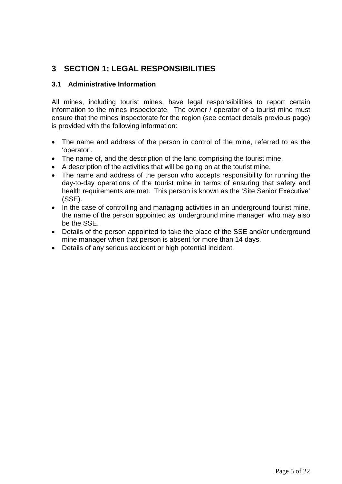# <span id="page-4-0"></span>**3 SECTION 1: LEGAL RESPONSIBILITIES**

#### <span id="page-4-1"></span>**3.1 Administrative Information**

All mines, including tourist mines, have legal responsibilities to report certain information to the mines inspectorate. The owner / operator of a tourist mine must ensure that the mines inspectorate for the region (see contact details previous page) is provided with the following information:

- The name and address of the person in control of the mine, referred to as the 'operator'.
- The name of, and the description of the land comprising the tourist mine.
- A description of the activities that will be going on at the tourist mine.
- The name and address of the person who accepts responsibility for running the day-to-day operations of the tourist mine in terms of ensuring that safety and health requirements are met. This person is known as the 'Site Senior Executive' (SSE).
- In the case of controlling and managing activities in an underground tourist mine, the name of the person appointed as 'underground mine manager' who may also be the SSE.
- Details of the person appointed to take the place of the SSE and/or underground mine manager when that person is absent for more than 14 days.
- Details of any serious accident or high potential incident.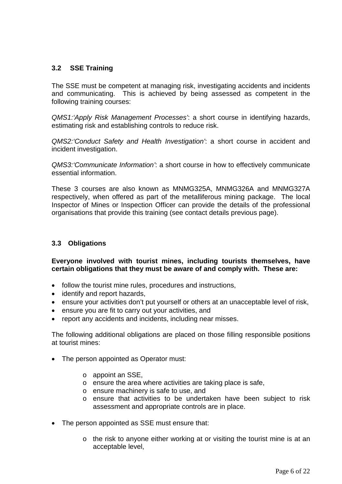#### <span id="page-5-0"></span>**3.2 SSE Training**

The SSE must be competent at managing risk, investigating accidents and incidents and communicating. This is achieved by being assessed as competent in the following training courses:

*QMS1:'Apply Risk Management Processes'*: a short course in identifying hazards, estimating risk and establishing controls to reduce risk.

*QMS2:'Conduct Safety and Health Investigation'*: a short course in accident and incident investigation.

*QMS3:'Communicate Information'*: a short course in how to effectively communicate essential information.

These 3 courses are also known as MNMG325A, MNMG326A and MNMG327A respectively, when offered as part of the metalliferous mining package. The local Inspector of Mines or Inspection Officer can provide the details of the professional organisations that provide this training (see contact details previous page).

#### <span id="page-5-1"></span>**3.3 Obligations**

**Everyone involved with tourist mines, including tourists themselves, have certain obligations that they must be aware of and comply with. These are:**

- follow the tourist mine rules, procedures and instructions,
- identify and report hazards,
- ensure your activities don't put yourself or others at an unacceptable level of risk,
- ensure you are fit to carry out your activities, and
- report any accidents and incidents, including near misses.

The following additional obligations are placed on those filling responsible positions at tourist mines:

- The person appointed as Operator must:
	- o appoint an SSE,
	- o ensure the area where activities are taking place is safe,
	- o ensure machinery is safe to use, and
	- o ensure that activities to be undertaken have been subject to risk assessment and appropriate controls are in place.
- The person appointed as SSE must ensure that:
	- o the risk to anyone either working at or visiting the tourist mine is at an acceptable level,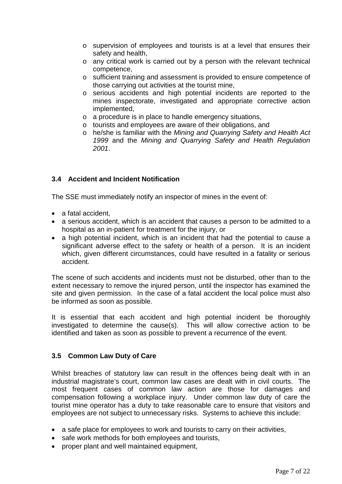- o supervision of employees and tourists is at a level that ensures their safety and health,
- o any critical work is carried out by a person with the relevant technical competence,
- o sufficient training and assessment is provided to ensure competence of those carrying out activities at the tourist mine,
- o serious accidents and high potential incidents are reported to the mines inspectorate, investigated and appropriate corrective action implemented,
- o a procedure is in place to handle emergency situations,
- o tourists and employees are aware of their obligations, and
- o he/she is familiar with the *Mining and Quarrying Safety and Health Act 1999* and the *Mining and Quarrying Safety and Health Regulation 2001*.

#### <span id="page-6-0"></span>**3.4 Accident and Incident Notification**

The SSE must immediately notify an inspector of mines in the event of:

- a fatal accident.
- a serious accident, which is an accident that causes a person to be admitted to a hospital as an in-patient for treatment for the injury, or
- a high potential incident, which is an incident that had the potential to cause a significant adverse effect to the safety or health of a person. It is an incident which, given different circumstances, could have resulted in a fatality or serious accident.

The scene of such accidents and incidents must not be disturbed, other than to the extent necessary to remove the injured person, until the inspector has examined the site and given permission. In the case of a fatal accident the local police must also be informed as soon as possible.

It is essential that each accident and high potential incident be thoroughly investigated to determine the cause(s). This will allow corrective action to be identified and taken as soon as possible to prevent a recurrence of the event.

#### <span id="page-6-1"></span>**3.5 Common Law Duty of Care**

Whilst breaches of statutory law can result in the offences being dealt with in an industrial magistrate's court, common law cases are dealt with in civil courts. The most frequent cases of common law action are those for damages and compensation following a workplace injury. Under common law duty of care the tourist mine operator has a duty to take reasonable care to ensure that visitors and employees are not subject to unnecessary risks. Systems to achieve this include:

- a safe place for employees to work and tourists to carry on their activities,
- safe work methods for both employees and tourists,
- proper plant and well maintained equipment,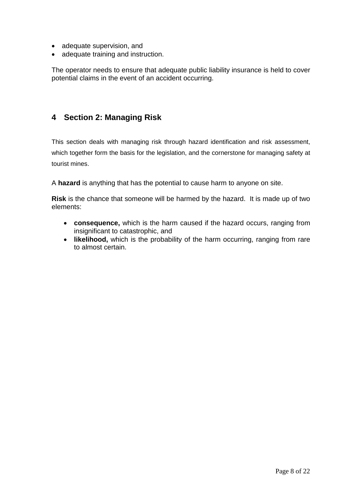- adequate supervision, and
- adequate training and instruction.

The operator needs to ensure that adequate public liability insurance is held to cover potential claims in the event of an accident occurring.

## <span id="page-7-0"></span>**4 Section 2: Managing Risk**

This section deals with managing risk through hazard identification and risk assessment, which together form the basis for the legislation, and the cornerstone for managing safety at tourist mines.

A **hazard** is anything that has the potential to cause harm to anyone on site.

**Risk** is the chance that someone will be harmed by the hazard. It is made up of two elements:

- **consequence,** which is the harm caused if the hazard occurs, ranging from insignificant to catastrophic, and
- **likelihood,** which is the probability of the harm occurring, ranging from rare to almost certain.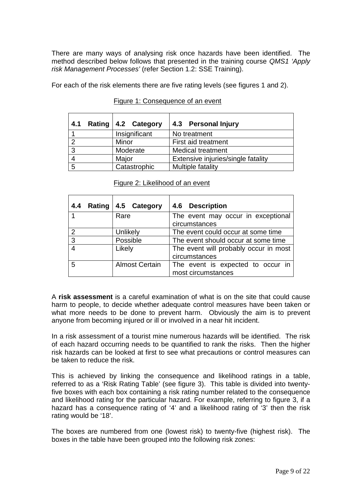There are many ways of analysing risk once hazards have been identified. The method described below follows that presented in the training course *QMS1 'Apply risk Management Processes'* (refer Section 1.2: SSE Training).

For each of the risk elements there are five rating levels (see figures 1 and 2).

<span id="page-8-0"></span>

| 4.1 | Rating   4.2 Category | 4.3 Personal Injury                |  |  |  |  |
|-----|-----------------------|------------------------------------|--|--|--|--|
|     | Insignificant         | No treatment                       |  |  |  |  |
| റ   | Minor                 | First aid treatment                |  |  |  |  |
| ≏   | Moderate              | <b>Medical treatment</b>           |  |  |  |  |
|     | Major                 | Extensive injuries/single fatality |  |  |  |  |
| 5   | Catastrophic          | Multiple fatality                  |  |  |  |  |

#### <span id="page-8-2"></span><span id="page-8-1"></span>Figure 1: Consequence of an event

<span id="page-8-3"></span>

| 4.4 | Rating | 4.5 Category          | 4.6 Description                                        |
|-----|--------|-----------------------|--------------------------------------------------------|
|     |        | Rare                  | The event may occur in exceptional<br>circumstances    |
| 2   |        | Unlikely              | The event could occur at some time                     |
| 3   |        | Possible              | The event should occur at some time                    |
| 4   |        | Likely                | The event will probably occur in most<br>circumstances |
| 5   |        | <b>Almost Certain</b> | The event is expected to occur in                      |

<span id="page-8-5"></span><span id="page-8-4"></span>Figure 2: Likelihood of an event

A **risk assessment** is a careful examination of what is on the site that could cause harm to people, to decide whether adequate control measures have been taken or what more needs to be done to prevent harm. Obviously the aim is to prevent anyone from becoming injured or ill or involved in a near hit incident.

most circumstances

In a risk assessment of a tourist mine numerous hazards will be identified. The risk of each hazard occurring needs to be quantified to rank the risks. Then the higher risk hazards can be looked at first to see what precautions or control measures can be taken to reduce the risk.

This is achieved by linking the consequence and likelihood ratings in a table, referred to as a 'Risk Rating Table' (see figure 3). This table is divided into twentyfive boxes with each box containing a risk rating number related to the consequence and likelihood rating for the particular hazard. For example, referring to figure 3, if a hazard has a consequence rating of '4' and a likelihood rating of '3' then the risk rating would be '18'.

The boxes are numbered from one (lowest risk) to twenty-five (highest risk). The boxes in the table have been grouped into the following risk zones: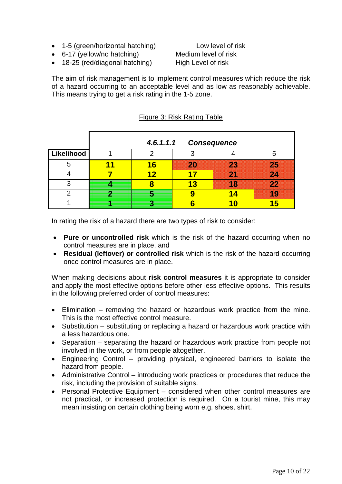- 1-5 (green/horizontal hatching) Low level of risk
- 6-17 (yellow/no hatching) Medium level of risk
- 18-25 (red/diagonal hatching) High Level of risk

The aim of risk management is to implement control measures which reduce the risk of a hazard occurring to an acceptable level and as low as reasonably achievable. This means trying to get a risk rating in the 1-5 zone.

|            | 4.6.1.1.1 | <b>Consequence</b> |               |                     |
|------------|-----------|--------------------|---------------|---------------------|
| Likelihood | n         |                    |               | 5                   |
| 5          | 16        | 20                 | 23            | $\overline{\bf 25}$ |
|            | 12        |                    | <b>Signal</b> | 24                  |
| 3          |           | P                  | 18            | $\overline{\bf 22}$ |
|            |           |                    | <b>14.</b>    | 19                  |
|            |           |                    |               |                     |

#### Figure 3: Risk Rating Table

In rating the risk of a hazard there are two types of risk to consider:

- **Pure or uncontrolled risk** which is the risk of the hazard occurring when no control measures are in place, and
- **Residual (leftover) or controlled risk** which is the risk of the hazard occurring once control measures are in place.

When making decisions about **risk control measures** it is appropriate to consider and apply the most effective options before other less effective options. This results in the following preferred order of control measures:

- Elimination removing the hazard or hazardous work practice from the mine. This is the most effective control measure.
- Substitution substituting or replacing a hazard or hazardous work practice with a less hazardous one.
- Separation separating the hazard or hazardous work practice from people not involved in the work, or from people altogether.
- Engineering Control providing physical, engineered barriers to isolate the hazard from people.
- Administrative Control introducing work practices or procedures that reduce the risk, including the provision of suitable signs.
- Personal Protective Equipment considered when other control measures are not practical, or increased protection is required. On a tourist mine, this may mean insisting on certain clothing being worn e.g. shoes, shirt.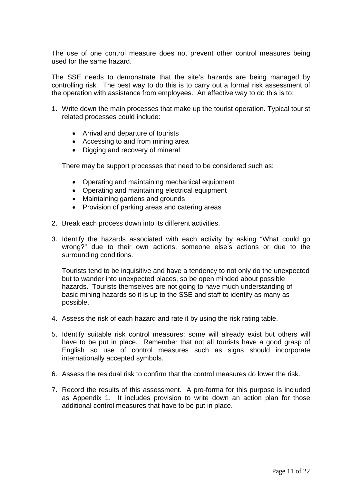The use of one control measure does not prevent other control measures being used for the same hazard.

The SSE needs to demonstrate that the site's hazards are being managed by controlling risk. The best way to do this is to carry out a formal risk assessment of the operation with assistance from employees. An effective way to do this is to:

- 1. Write down the main processes that make up the tourist operation. Typical tourist related processes could include:
	- Arrival and departure of tourists
	- Accessing to and from mining area
	- Digging and recovery of mineral

There may be support processes that need to be considered such as:

- Operating and maintaining mechanical equipment
- Operating and maintaining electrical equipment
- Maintaining gardens and grounds
- Provision of parking areas and catering areas
- 2. Break each process down into its different activities.
- 3. Identify the hazards associated with each activity by asking "What could go wrong?" due to their own actions, someone else's actions or due to the surrounding conditions.

Tourists tend to be inquisitive and have a tendency to not only do the unexpected but to wander into unexpected places, so be open minded about possible hazards. Tourists themselves are not going to have much understanding of basic mining hazards so it is up to the SSE and staff to identify as many as possible.

- 4. Assess the risk of each hazard and rate it by using the risk rating table.
- 5. Identify suitable risk control measures; some will already exist but others will have to be put in place. Remember that not all tourists have a good grasp of English so use of control measures such as signs should incorporate internationally accepted symbols.
- 6. Assess the residual risk to confirm that the control measures do lower the risk.
- 7. Record the results of this assessment. A pro-forma for this purpose is included as Appendix 1. It includes provision to write down an action plan for those additional control measures that have to be put in place.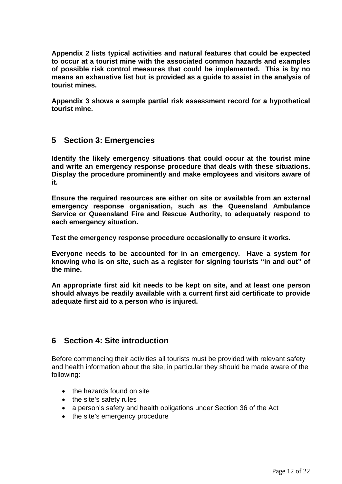**Appendix 2 lists typical activities and natural features that could be expected to occur at a tourist mine with the associated common hazards and examples of possible risk control measures that could be implemented. This is by no means an exhaustive list but is provided as a guide to assist in the analysis of tourist mines.**

**Appendix 3 shows a sample partial risk assessment record for a hypothetical tourist mine.**

## <span id="page-11-0"></span>**5 Section 3: Emergencies**

**Identify the likely emergency situations that could occur at the tourist mine and write an emergency response procedure that deals with these situations. Display the procedure prominently and make employees and visitors aware of it.**

**Ensure the required resources are either on site or available from an external emergency response organisation, such as the Queensland Ambulance Service or Queensland Fire and Rescue Authority, to adequately respond to each emergency situation.**

**Test the emergency response procedure occasionally to ensure it works.**

**Everyone needs to be accounted for in an emergency. Have a system for knowing who is on site, such as a register for signing tourists "in and out" of the mine.**

**An appropriate first aid kit needs to be kept on site, and at least one person should always be readily available with a current first aid certificate to provide adequate first aid to a person who is injured.**

## <span id="page-11-1"></span>**6 Section 4: Site introduction**

Before commencing their activities all tourists must be provided with relevant safety and health information about the site, in particular they should be made aware of the following:

- the hazards found on site
- the site's safety rules
- a person's safety and health obligations under Section 36 of the Act
- the site's emergency procedure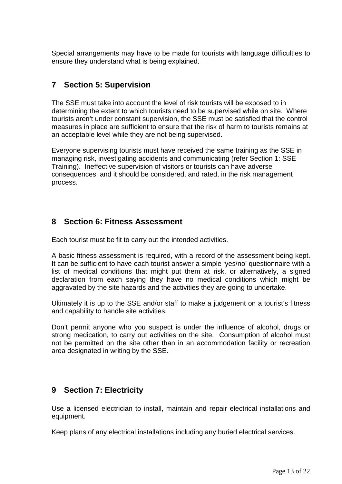Special arrangements may have to be made for tourists with language difficulties to ensure they understand what is being explained.

## <span id="page-12-0"></span>**7 Section 5: Supervision**

The SSE must take into account the level of risk tourists will be exposed to in determining the extent to which tourists need to be supervised while on site. Where tourists aren't under constant supervision, the SSE must be satisfied that the control measures in place are sufficient to ensure that the risk of harm to tourists remains at an acceptable level while they are not being supervised.

Everyone supervising tourists must have received the same training as the SSE in managing risk, investigating accidents and communicating (refer Section 1: SSE Training). Ineffective supervision of visitors or tourists can have adverse consequences, and it should be considered, and rated, in the risk management process.

## <span id="page-12-1"></span>**8 Section 6: Fitness Assessment**

Each tourist must be fit to carry out the intended activities.

A basic fitness assessment is required, with a record of the assessment being kept. It can be sufficient to have each tourist answer a simple 'yes/no' questionnaire with a list of medical conditions that might put them at risk, or alternatively, a signed declaration from each saying they have no medical conditions which might be aggravated by the site hazards and the activities they are going to undertake.

Ultimately it is up to the SSE and/or staff to make a judgement on a tourist's fitness and capability to handle site activities.

Don't permit anyone who you suspect is under the influence of alcohol, drugs or strong medication, to carry out activities on the site. Consumption of alcohol must not be permitted on the site other than in an accommodation facility or recreation area designated in writing by the SSE.

## <span id="page-12-2"></span>**9 Section 7: Electricity**

Use a licensed electrician to install, maintain and repair electrical installations and equipment.

Keep plans of any electrical installations including any buried electrical services.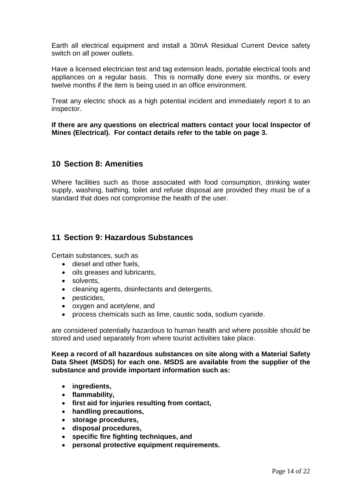Earth all electrical equipment and install a 30mA Residual Current Device safety switch on all power outlets.

Have a licensed electrician test and tag extension leads, portable electrical tools and appliances on a regular basis. This is normally done every six months, or every twelve months if the item is being used in an office environment.

Treat any electric shock as a high potential incident and immediately report it to an inspector.

**If there are any questions on electrical matters contact your local Inspector of Mines (Electrical). For contact details refer to the table on page 3.**

## <span id="page-13-0"></span>**10 Section 8: Amenities**

Where facilities such as those associated with food consumption, drinking water supply, washing, bathing, toilet and refuse disposal are provided they must be of a standard that does not compromise the health of the user.

## <span id="page-13-1"></span>**11 Section 9: Hazardous Substances**

Certain substances, such as

- diesel and other fuels,
- oils greases and lubricants,
- solvents,
- cleaning agents, disinfectants and detergents,
- pesticides,
- oxygen and acetylene, and
- process chemicals such as lime, caustic soda, sodium cyanide.

are considered potentially hazardous to human health and where possible should be stored and used separately from where tourist activities take place.

**Keep a record of all hazardous substances on site along with a Material Safety Data Sheet (MSDS) for each one. MSDS are available from the supplier of the substance and provide important information such as:**

- **ingredients,**
- **flammability,**
- **first aid for injuries resulting from contact,**
- **handling precautions,**
- **storage procedures,**
- **disposal procedures,**
- **specific fire fighting techniques, and**
- **personal protective equipment requirements.**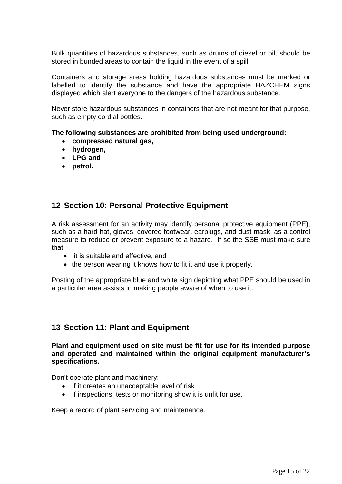Bulk quantities of hazardous substances, such as drums of diesel or oil, should be stored in bunded areas to contain the liquid in the event of a spill.

Containers and storage areas holding hazardous substances must be marked or labelled to identify the substance and have the appropriate HAZCHEM signs displayed which alert everyone to the dangers of the hazardous substance.

Never store hazardous substances in containers that are not meant for that purpose, such as empty cordial bottles.

#### **The following substances are prohibited from being used underground:**

- **compressed natural gas,**
- **hydrogen,**
- **LPG and**
- **petrol.**

## <span id="page-14-0"></span>**12 Section 10: Personal Protective Equipment**

A risk assessment for an activity may identify personal protective equipment (PPE), such as a hard hat, gloves, covered footwear, earplugs, and dust mask, as a control measure to reduce or prevent exposure to a hazard. If so the SSE must make sure that:

- it is suitable and effective, and
- the person wearing it knows how to fit it and use it properly.

Posting of the appropriate blue and white sign depicting what PPE should be used in a particular area assists in making people aware of when to use it.

## <span id="page-14-1"></span>**13 Section 11: Plant and Equipment**

**Plant and equipment used on site must be fit for use for its intended purpose and operated and maintained within the original equipment manufacturer's specifications.**

Don't operate plant and machinery:

- if it creates an unacceptable level of risk
- if inspections, tests or monitoring show it is unfit for use.

Keep a record of plant servicing and maintenance.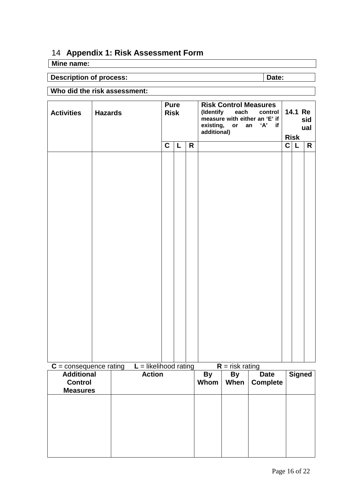# <span id="page-15-0"></span>14 **Appendix 1: Risk Assessment Form**

# **Mine name:**

# **Description of process: Description of process: Date:**

<span id="page-15-1"></span>

# **Who did the risk assessment:**

| <b>Activities</b>                                      | <b>Hazards</b> | <b>Risk</b>             |   |              | <b>Pure</b> |                   |                   |                                | (Identify each<br>additional) | <b>Risk Control Measures</b><br>control<br>measure with either an 'E' if<br>existing, or an 'A' if | 14.1 Re | sid<br>ual |
|--------------------------------------------------------|----------------|-------------------------|---|--------------|-------------|-------------------|-------------------|--------------------------------|-------------------------------|----------------------------------------------------------------------------------------------------|---------|------------|
|                                                        |                |                         | C | $\mathsf{L}$ | R           |                   |                   |                                | <b>Risk</b><br>C L            | R                                                                                                  |         |            |
|                                                        |                |                         |   |              |             |                   |                   |                                |                               |                                                                                                    |         |            |
| $C =$ consequence rating                               |                | $L =$ likelihood rating |   |              |             |                   | $R =$ risk rating |                                |                               |                                                                                                    |         |            |
| <b>Additional</b><br><b>Control</b><br><b>Measures</b> |                | <b>Action</b>           |   |              |             | <b>By</b><br>Whom | <b>By</b><br>When | <b>Date</b><br><b>Complete</b> | <b>Signed</b>                 |                                                                                                    |         |            |
|                                                        |                |                         |   |              |             |                   |                   |                                |                               |                                                                                                    |         |            |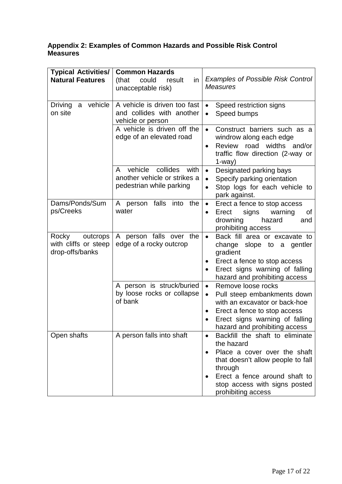#### **Appendix 2: Examples of Common Hazards and Possible Risk Control Measures**

| <b>Typical Activities/</b><br><b>Natural Features</b>        | <b>Common Hazards</b><br>(that<br>could<br>in<br>result<br>unacceptable risk)                | <b>Examples of Possible Risk Control</b><br><b>Measures</b>                                                                                                                                                                             |
|--------------------------------------------------------------|----------------------------------------------------------------------------------------------|-----------------------------------------------------------------------------------------------------------------------------------------------------------------------------------------------------------------------------------------|
| a vehicle<br>Driving<br>on site                              | A vehicle is driven too fast<br>and collides with another<br>vehicle or person               | Speed restriction signs<br>$\bullet$<br>Speed bumps<br>$\bullet$                                                                                                                                                                        |
|                                                              | A vehicle is driven off the<br>edge of an elevated road                                      | Construct barriers such as a<br>$\bullet$<br>windrow along each edge<br>Review road widths and/or<br>$\bullet$<br>traffic flow direction (2-way or<br>$1$ -way $)$                                                                      |
|                                                              | collides<br>vehicle<br>A<br>with<br>another vehicle or strikes a<br>pedestrian while parking | Designated parking bays<br>$\bullet$<br>Specify parking orientation<br>$\bullet$<br>Stop logs for each vehicle to<br>$\bullet$<br>park against.                                                                                         |
| Dams/Ponds/Sum<br>ps/Creeks                                  | A person falls<br>into the<br>water                                                          | Erect a fence to stop access<br>$\bullet$<br>signs<br>Erect<br>warning<br>Οf<br>٠<br>drowning<br>hazard<br>and<br>prohibiting access                                                                                                    |
| Rocky<br>outcrops<br>with cliffs or steep<br>drop-offs/banks | A person falls over the<br>edge of a rocky outcrop                                           | Back fill area or excavate to<br>$\bullet$<br>slope to a gentler<br>change<br>gradient<br>Erect a fence to stop access<br>٠<br>Erect signs warning of falling<br>hazard and prohibiting access                                          |
|                                                              | A person is struck/buried<br>by loose rocks or collapse<br>of bank                           | Remove loose rocks<br>$\bullet$<br>Pull steep embankments down<br>$\bullet$<br>with an excavator or back-hoe<br>Erect a fence to stop access<br>٠<br>Erect signs warning of falling<br>hazard and prohibiting access                    |
| Open shafts                                                  | A person falls into shaft                                                                    | Backfill the shaft to eliminate<br>$\bullet$<br>the hazard<br>Place a cover over the shaft<br>٠<br>that doesn't allow people to fall<br>through<br>Erect a fence around shaft to<br>stop access with signs posted<br>prohibiting access |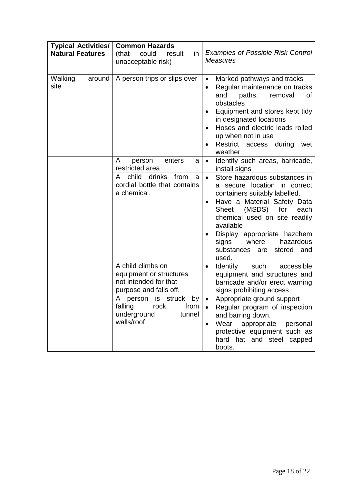| <b>Typical Activities/</b><br><b>Natural Features</b> | <b>Common Hazards</b><br>(that<br>could<br>result<br>in<br>unacceptable risk)                   | <b>Examples of Possible Risk Control</b><br><b>Measures</b>                                                                                                                                                                                                                                                                          |
|-------------------------------------------------------|-------------------------------------------------------------------------------------------------|--------------------------------------------------------------------------------------------------------------------------------------------------------------------------------------------------------------------------------------------------------------------------------------------------------------------------------------|
| Walking<br>around                                     | A person trips or slips over                                                                    | Marked pathways and tracks<br>$\bullet$                                                                                                                                                                                                                                                                                              |
| site                                                  |                                                                                                 | Regular maintenance on tracks<br>$\bullet$<br>paths,<br>and<br>removal<br>οf<br>obstacles<br>Equipment and stores kept tidy<br>٠<br>in designated locations<br>Hoses and electric leads rolled<br>up when not in use<br>Restrict access<br>during<br>wet<br>weather                                                                  |
|                                                       | A<br>person<br>enters<br>a<br>restricted area                                                   | Identify such areas, barricade,<br>$\bullet$<br>install signs                                                                                                                                                                                                                                                                        |
|                                                       | child<br>drinks<br>from<br>A<br>a<br>cordial bottle that contains<br>a chemical.                | Store hazardous substances in<br>$\bullet$<br>secure location in correct<br>a<br>containers suitably labelled.<br>Have a Material Safety Data<br>Sheet (MSDS)<br>for<br>each<br>chemical used on site readily<br>available<br>Display appropriate hazchem<br>hazardous<br>signs<br>where<br>substances are<br>stored<br>and<br>used. |
|                                                       | A child climbs on<br>equipment or structures<br>not intended for that<br>purpose and falls off. | such<br>Identify<br>accessible<br>$\bullet$<br>equipment and structures and<br>barricade and/or erect warning<br>signs prohibiting access                                                                                                                                                                                            |
|                                                       | A person is struck by<br>falling<br>rock<br>from<br>underground<br>tunnel<br>walls/roof         | Appropriate ground support<br>Regular program of inspection<br>$\bullet$<br>and barring down.<br>Wear<br>appropriate<br>personal<br>$\bullet$<br>protective equipment such as<br>hard hat and steel capped<br>boots.                                                                                                                 |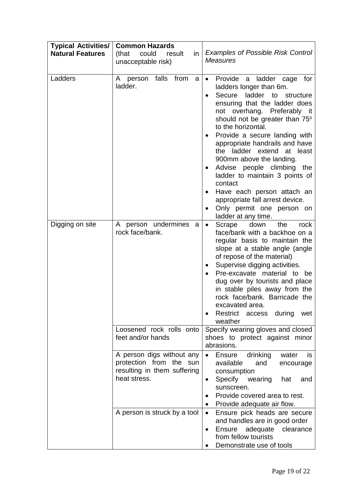| <b>Typical Activities/</b><br><b>Natural Features</b> | <b>Common Hazards</b><br>could<br>(that<br>result<br>in<br>unacceptable risk)                                                          | <b>Examples of Possible Risk Control</b><br><b>Measures</b>                                                                                                                                                                                                                                                                                                                                                                                                                                                                                                                                  |
|-------------------------------------------------------|----------------------------------------------------------------------------------------------------------------------------------------|----------------------------------------------------------------------------------------------------------------------------------------------------------------------------------------------------------------------------------------------------------------------------------------------------------------------------------------------------------------------------------------------------------------------------------------------------------------------------------------------------------------------------------------------------------------------------------------------|
| Ladders                                               | A person falls from<br>a<br>ladder.                                                                                                    | Provide a ladder cage<br>for<br>$\bullet$<br>ladders longer than 6m.<br>Secure ladder to structure<br>$\bullet$<br>ensuring that the ladder does<br>not overhang. Preferably it<br>should not be greater than 75°<br>to the horizontal.<br>Provide a secure landing with<br>appropriate handrails and have<br>ladder extend at least<br>the<br>900mm above the landing.<br>Advise people climbing<br>the<br>٠<br>ladder to maintain 3 points of<br>contact<br>Have each person attach an<br>$\bullet$<br>appropriate fall arrest device.<br>Only permit one person on<br>ladder at any time. |
| Digging on site                                       | A person undermines a<br>rock face/bank.                                                                                               | down<br>the<br>Scrape<br>rock<br>$\bullet$<br>face/bank with a backhoe on a<br>regular basis to maintain the<br>slope at a stable angle (angle<br>of repose of the material)<br>Supervise digging activities.<br>٠<br>Pre-excavate material to be<br>dug over by tourists and place<br>in stable piles away from the<br>rock face/bank. Barricade the<br>excavated area.<br>Restrict<br>during<br>access<br>wet<br>weather                                                                                                                                                                   |
|                                                       | Loosened rock rolls onto<br>feet and/or hands                                                                                          | Specify wearing gloves and closed<br>shoes to protect against minor<br>abrasions.                                                                                                                                                                                                                                                                                                                                                                                                                                                                                                            |
|                                                       | A person digs without any<br>protection from<br>the sun<br>resulting in them suffering<br>heat stress.<br>A person is struck by a tool | drinking<br>Ensure<br>water<br>is<br>$\bullet$<br>available<br>and<br>encourage<br>consumption<br>Specify<br>wearing<br>hat<br>and<br>$\bullet$<br>sunscreen.<br>Provide covered area to rest.<br>Provide adequate air flow.<br>$\bullet$<br>Ensure pick heads are secure<br>$\bullet$<br>and handles are in good order<br><b>Ensure</b><br>adequate clearance<br>٠<br>from fellow tourists<br>Demonstrate use of tools                                                                                                                                                                      |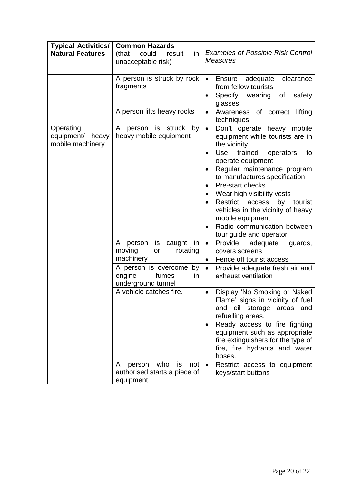| <b>Typical Activities/</b><br><b>Natural Features</b> | <b>Common Hazards</b><br>could<br>(that<br>result<br>in<br>unacceptable risk) | <b>Examples of Possible Risk Control</b><br><b>Measures</b>                                                                                                                                                                                                                                                                                                                                                                                                                                |
|-------------------------------------------------------|-------------------------------------------------------------------------------|--------------------------------------------------------------------------------------------------------------------------------------------------------------------------------------------------------------------------------------------------------------------------------------------------------------------------------------------------------------------------------------------------------------------------------------------------------------------------------------------|
|                                                       | A person is struck by rock<br>fragments                                       | Ensure<br>adequate<br>clearance<br>$\bullet$<br>from fellow tourists<br>Specify wearing<br>of<br>safety<br>٠<br>glasses                                                                                                                                                                                                                                                                                                                                                                    |
|                                                       | A person lifts heavy rocks                                                    | Awareness of correct<br>lifting<br>$\bullet$<br>techniques                                                                                                                                                                                                                                                                                                                                                                                                                                 |
| Operating<br>equipment/ heavy<br>mobile machinery     | person is struck by<br>A<br>heavy mobile equipment                            | Don't operate heavy mobile<br>$\bullet$<br>equipment while tourists are in<br>the vicinity<br><b>Use</b><br>trained<br>operators<br>to<br>$\bullet$<br>operate equipment<br>Regular maintenance program<br>to manufactures specification<br>Pre-start checks<br>$\bullet$<br>Wear high visibility vests<br>٠<br>Restrict access<br>by tourist<br>$\bullet$<br>vehicles in the vicinity of heavy<br>mobile equipment<br>Radio communication between<br>$\bullet$<br>tour guide and operator |
|                                                       | caught<br>is<br>in<br>A<br>person<br>moving<br>rotating<br>or<br>machinery    | Provide<br>adequate<br>$\bullet$<br>guards,<br>covers screens<br>Fence off tourist access<br>$\bullet$                                                                                                                                                                                                                                                                                                                                                                                     |
|                                                       | A person is overcome by<br>engine<br>fumes<br>in<br>underground tunnel        | $\bullet$<br>Provide adequate fresh air and<br>exhaust ventilation                                                                                                                                                                                                                                                                                                                                                                                                                         |
|                                                       | A vehicle catches fire.                                                       | Display 'No Smoking or Naked<br>$\bullet$<br>Flame' signs in vicinity of fuel<br>and oil<br>storage<br>areas<br>and<br>refuelling areas.<br>Ready access to fire fighting<br>$\bullet$<br>equipment such as appropriate<br>fire extinguishers for the type of<br>fire, fire hydrants and water<br>hoses.                                                                                                                                                                                   |
|                                                       | who is<br>person<br>not<br>A<br>authorised starts a piece of<br>equipment.    | $\bullet$<br>Restrict access to equipment<br>keys/start buttons                                                                                                                                                                                                                                                                                                                                                                                                                            |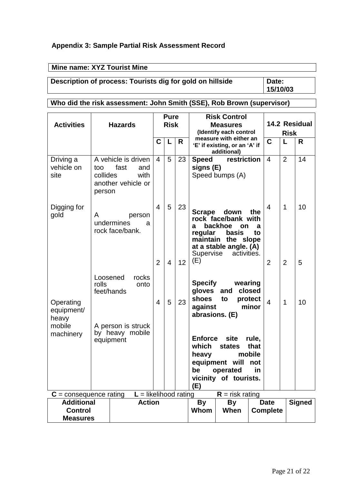#### **Appendix 3: Sample Partial Risk Assessment Record**

## **Mine name: XYZ Tourist Mine**

# **Description of process: Tourists dig for gold on hillside | Date:**

## <span id="page-20-0"></span>**Who did the risk assessment: John Smith (SSE), Rob Brown (supervisor)**

| <b>Activities</b>                                                       |                                                    | <b>Hazards</b>                                    |                         |                | <b>Pure</b><br><b>Risk</b> |                   | <b>Risk Control</b><br><b>Measures</b>                                 |                                                                                                                             |                                | 14.2 Residual  |                |    |  |
|-------------------------------------------------------------------------|----------------------------------------------------|---------------------------------------------------|-------------------------|----------------|----------------------------|-------------------|------------------------------------------------------------------------|-----------------------------------------------------------------------------------------------------------------------------|--------------------------------|----------------|----------------|----|--|
|                                                                         |                                                    |                                                   |                         |                |                            |                   | (Identify each control                                                 |                                                                                                                             | <b>Risk</b>                    |                |                |    |  |
|                                                                         |                                                    |                                                   |                         | $\mathbf C$    | L                          | R                 | measure with either an<br>'E' if existing, or an 'A' if<br>additional) |                                                                                                                             |                                | $\mathbf C$    | L              | R  |  |
| Driving a<br>vehicle on<br>site                                         | too<br>collides<br>person                          | A vehicle is driven<br>fast<br>another vehicle or | and<br>with             | $\overline{4}$ | 5                          | 23                | <b>Speed</b><br>signs (E)                                              | restriction<br>Speed bumps (A)                                                                                              |                                | $\overline{4}$ | $\overline{2}$ | 14 |  |
| Digging for<br>gold                                                     | A                                                  | undermines<br>rock face/bank.                     | person<br>a             | $\overline{4}$ | 5                          | 23                | <b>Scrape</b><br>a<br>regular<br>Supervise                             | down<br>rock face/bank with<br>backhoe<br><b>on</b><br>basis<br>maintain the slope<br>at a stable angle. (A)<br>activities. | the<br>a<br>to                 | $\overline{4}$ | 1              | 10 |  |
|                                                                         |                                                    |                                                   |                         | $\overline{2}$ | $\overline{4}$             | 12                | (E)                                                                    |                                                                                                                             |                                | $\overline{2}$ | $\overline{2}$ | 5  |  |
| Operating<br>equipment/<br>heavy<br>mobile<br>machinery                 | Loosened<br>rolls                                  | feet/hands                                        | rocks<br>onto           | $\overline{4}$ | 5                          | 23                | <b>Specify</b><br>gloves and<br>shoes<br>against<br>abrasions. (E)     | wearing<br>to                                                                                                               | closed<br>protect<br>minor     | $\overline{4}$ | 1              | 10 |  |
|                                                                         | A person is struck<br>by heavy mobile<br>equipment |                                                   |                         |                |                            |                   | <b>Enforce</b><br>which<br>heavy<br>(E)                                | site<br><b>states</b><br>equipment will<br>be operated in<br>vicinity of tourists.                                          | rule,<br>that<br>mobile<br>not |                |                |    |  |
| $C =$ consequence rating                                                |                                                    |                                                   | $L =$ likelihood rating |                |                            |                   |                                                                        | $R =$ risk rating                                                                                                           |                                |                |                |    |  |
| <b>Additional</b><br><b>Action</b><br><b>Control</b><br><b>Measures</b> |                                                    |                                                   |                         |                |                            | <b>By</b><br>Whom | <b>By</b><br>When                                                      |                                                                                                                             | <b>Date</b><br><b>Complete</b> |                | <b>Signed</b>  |    |  |